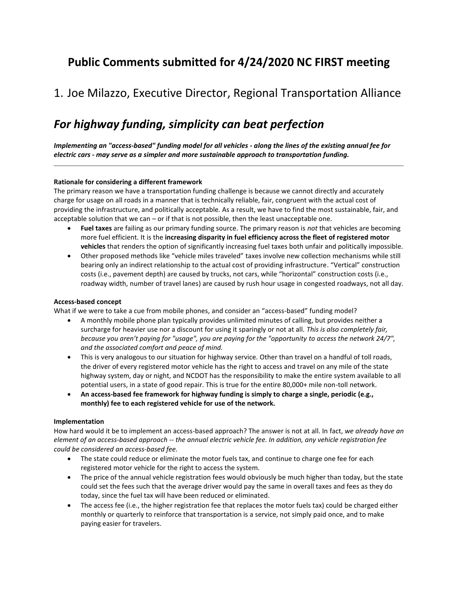## **Public Comments submitted for 4/24/2020 NC FIRST meeting**

### 1. Joe Milazzo, Executive Director, Regional Transportation Alliance

### *For highway funding, simplicity can beat perfection*

*Implementing an "access-based" funding model for all vehicles - along the lines of the existing annual fee for electric cars - may serve as a simpler and more sustainable approach to transportation funding.*

#### **Rationale for considering a different framework**

The primary reason we have a transportation funding challenge is because we cannot directly and accurately charge for usage on all roads in a manner that is technically reliable, fair, congruent with the actual cost of providing the infrastructure, and politically acceptable*.* As a result, we have to find the most sustainable, fair, and acceptable solution that we can – or if that is not possible, then the least unacceptable one.

- **Fuel taxes** are failing as our primary funding source. The primary reason is *not* that vehicles are becoming more fuel efficient. It is the **increasing disparity in fuel efficiency across the fleet of registered motor vehicles** that renders the option of significantly increasing fuel taxes both unfair and politically impossible.
- Other proposed methods like "vehicle miles traveled" taxes involve new collection mechanisms while still bearing only an indirect relationship to the actual cost of providing infrastructure. "Vertical" construction costs (i.e., pavement depth) are caused by trucks, not cars, while "horizontal" construction costs (i.e., roadway width, number of travel lanes) are caused by rush hour usage in congested roadways, not all day.

#### **Access-based concept**

What if we were to take a cue from mobile phones, and consider an "access-based" funding model?

- A monthly mobile phone plan typically provides unlimited minutes of calling, but provides neither a surcharge for heavier use nor a discount for using it sparingly or not at all. *This is also completely fair, because you aren't paying for "usage", you are paying for the "opportunity to access the network 24/7", and the associated comfort and peace of mind.*
- This is very analogous to our situation for highway service. Other than travel on a handful of toll roads, the driver of every registered motor vehicle has the right to access and travel on any mile of the state highway system, day or night, and NCDOT has the responsibility to make the entire system available to all potential users, in a state of good repair. This is true for the entire 80,000+ mile non-toll network.
- **An access-based fee framework for highway funding is simply to charge a single, periodic (e.g., monthly) fee to each registered vehicle for use of the network.**

#### **Implementation**

How hard would it be to implement an access-based approach? The answer is not at all. In fact, *we already have an element of an access-based approach -- the annual electric vehicle fee. In addition, any vehicle registration fee could be considered an access-based fee.*

- The state could reduce or eliminate the motor fuels tax, and continue to charge one fee for each registered motor vehicle for the right to access the system.
- The price of the annual vehicle registration fees would obviously be much higher than today, but the state could set the fees such that the average driver would pay the same in overall taxes and fees as they do today, since the fuel tax will have been reduced or eliminated.
- The access fee (i.e., the higher registration fee that replaces the motor fuels tax) could be charged either monthly or quarterly to reinforce that transportation is a service, not simply paid once, and to make paying easier for travelers.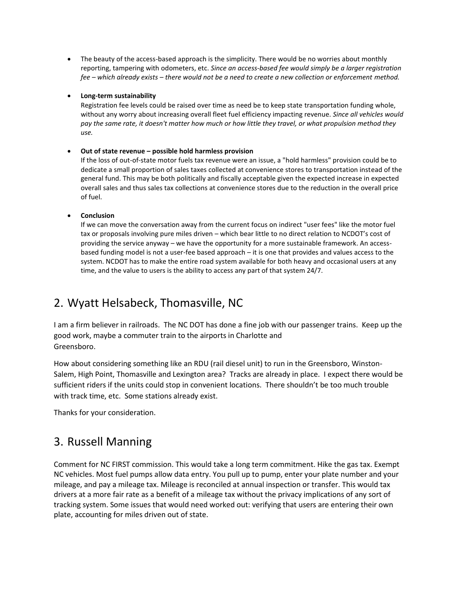• The beauty of the access-based approach is the simplicity. There would be no worries about monthly reporting, tampering with odometers, etc. *Since an access-based fee would simply be a larger registration fee – which already exists – there would not be a need to create a new collection or enforcement method.*

#### • **Long-term sustainability**

Registration fee levels could be raised over time as need be to keep state transportation funding whole, without any worry about increasing overall fleet fuel efficiency impacting revenue. *Since all vehicles would pay the same rate, it doesn't matter how much or how little they travel, or what propulsion method they use.*

#### • **Out of state revenue – possible hold harmless provision**

If the loss of out-of-state motor fuels tax revenue were an issue, a "hold harmless" provision could be to dedicate a small proportion of sales taxes collected at convenience stores to transportation instead of the general fund. This may be both politically and fiscally acceptable given the expected increase in expected overall sales and thus sales tax collections at convenience stores due to the reduction in the overall price of fuel.

### • **Conclusion**

If we can move the conversation away from the current focus on indirect "user fees" like the motor fuel tax or proposals involving pure miles driven – which bear little to no direct relation to NCDOT's cost of providing the service anyway – we have the opportunity for a more sustainable framework. An accessbased funding model is not a user-fee based approach – it is one that provides and values access to the system. NCDOT has to make the entire road system available for both heavy and occasional users at any time, and the value to users is the ability to access any part of that system 24/7.

## 2. Wyatt Helsabeck, Thomasville, NC

I am a firm believer in railroads. The NC DOT has done a fine job with our passenger trains. Keep up the good work, maybe a commuter train to the airports in Charlotte and Greensboro.

How about considering something like an RDU (rail diesel unit) to run in the Greensboro, Winston-Salem, High Point, Thomasville and Lexington area? Tracks are already in place. I expect there would be sufficient riders if the units could stop in convenient locations. There shouldn't be too much trouble with track time, etc. Some stations already exist.

Thanks for your consideration.

## 3. Russell Manning

Comment for NC FIRST commission. This would take a long term commitment. Hike the gas tax. Exempt NC vehicles. Most fuel pumps allow data entry. You pull up to pump, enter your plate number and your mileage, and pay a mileage tax. Mileage is reconciled at annual inspection or transfer. This would tax drivers at a more fair rate as a benefit of a mileage tax without the privacy implications of any sort of tracking system. Some issues that would need worked out: verifying that users are entering their own plate, accounting for miles driven out of state.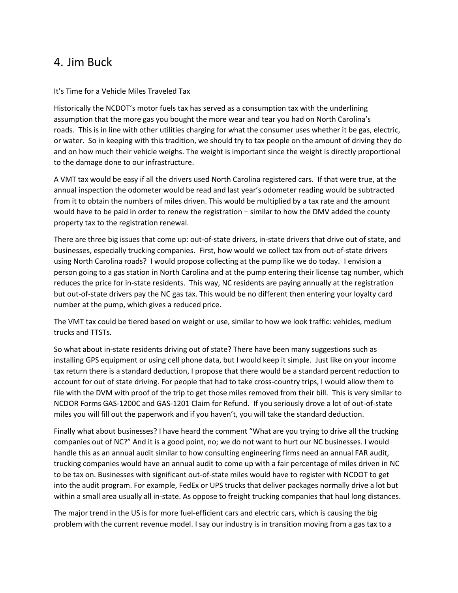## 4. Jim Buck

### It's Time for a Vehicle Miles Traveled Tax

Historically the NCDOT's motor fuels tax has served as a consumption tax with the underlining assumption that the more gas you bought the more wear and tear you had on North Carolina's roads. This is in line with other utilities charging for what the consumer uses whether it be gas, electric, or water. So in keeping with this tradition, we should try to tax people on the amount of driving they do and on how much their vehicle weighs. The weight is important since the weight is directly proportional to the damage done to our infrastructure.

A VMT tax would be easy if all the drivers used North Carolina registered cars. If that were true, at the annual inspection the odometer would be read and last year's odometer reading would be subtracted from it to obtain the numbers of miles driven. This would be multiplied by a tax rate and the amount would have to be paid in order to renew the registration – similar to how the DMV added the county property tax to the registration renewal.

There are three big issues that come up: out-of-state drivers, in-state drivers that drive out of state, and businesses, especially trucking companies. First, how would we collect tax from out-of-state drivers using North Carolina roads? I would propose collecting at the pump like we do today. I envision a person going to a gas station in North Carolina and at the pump entering their license tag number, which reduces the price for in-state residents. This way, NC residents are paying annually at the registration but out-of-state drivers pay the NC gas tax. This would be no different then entering your loyalty card number at the pump, which gives a reduced price.

The VMT tax could be tiered based on weight or use, similar to how we look traffic: vehicles, medium trucks and TTSTs.

So what about in-state residents driving out of state? There have been many suggestions such as installing GPS equipment or using cell phone data, but I would keep it simple. Just like on your income tax return there is a standard deduction, I propose that there would be a standard percent reduction to account for out of state driving. For people that had to take cross-country trips, I would allow them to file with the DVM with proof of the trip to get those miles removed from their bill. This is very similar to NCDOR Forms GAS-1200C and GAS-1201 Claim for Refund. If you seriously drove a lot of out-of-state miles you will fill out the paperwork and if you haven't, you will take the standard deduction.

Finally what about businesses? I have heard the comment "What are you trying to drive all the trucking companies out of NC?" And it is a good point, no; we do not want to hurt our NC businesses. I would handle this as an annual audit similar to how consulting engineering firms need an annual FAR audit, trucking companies would have an annual audit to come up with a fair percentage of miles driven in NC to be tax on. Businesses with significant out-of-state miles would have to register with NCDOT to get into the audit program. For example, FedEx or UPS trucks that deliver packages normally drive a lot but within a small area usually all in-state. As oppose to freight trucking companies that haul long distances.

The major trend in the US is for more fuel-efficient cars and electric cars, which is causing the big problem with the current revenue model. I say our industry is in transition moving from a gas tax to a